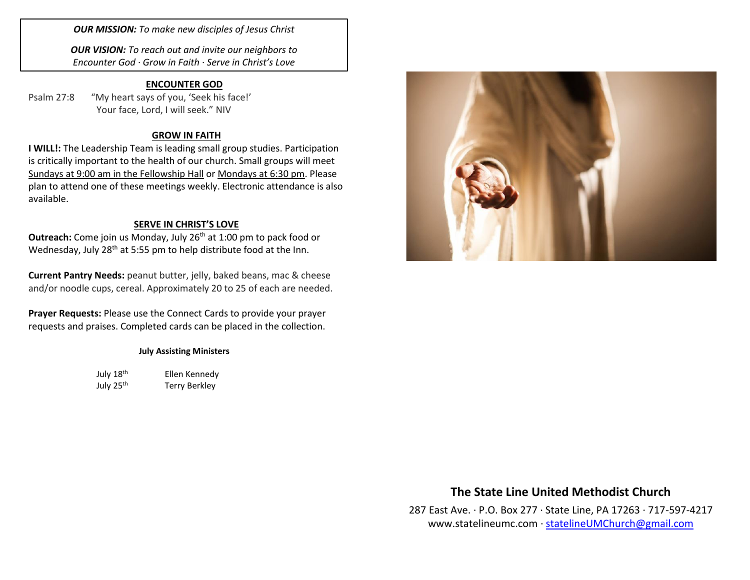*OUR MISSION: To make new disciples of Jesus Christ*

*OUR VISION: To reach out and invite our neighbors to Encounter God · Grow in Faith · Serve in Christ's Love*

#### **ENCOUNTER GOD**

Psalm 27:8 "My heart says of you, 'Seek his face!' Your face, Lord, I will seek." NIV

#### **GROW IN FAITH**

**I WILL!:** The Leadership Team is leading small group studies. Participation is critically important to the health of our church. Small groups will meet Sundays at 9:00 am in the Fellowship Hall or Mondays at 6:30 pm. Please plan to attend one of these meetings weekly. Electronic attendance is also available.

#### **SERVE IN CHRIST'S LOVE**

**Outreach:** Come join us Monday, July 26<sup>th</sup> at 1:00 pm to pack food or Wednesday, July 28<sup>th</sup> at 5:55 pm to help distribute food at the Inn.

**Current Pantry Needs:** peanut butter, jelly, baked beans, mac & cheese and/or noodle cups, cereal. Approximately 20 to 25 of each are needed.

**Prayer Requests:** Please use the Connect Cards to provide your prayer requests and praises. Completed cards can be placed in the collection.

#### **July Assisting Ministers**

July 18<sup>th</sup> Ellen Kennedy July 25<sup>th</sup> Terry Berkley



## **The State Line United Methodist Church**

287 East Ave. · P.O. Box 277 · State Line, PA 17263 · 717-597-4217 [www.statelineumc.com](http://www.statelineumc.com/) · [statelineUMChurch@gmail.com](mailto:statelineUMChurch@gmail.com)